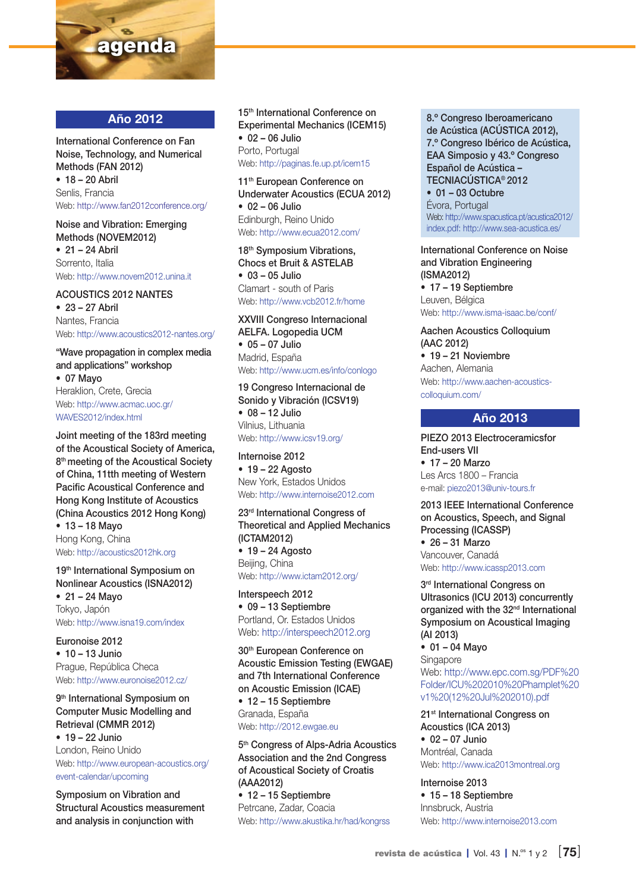

## Año 2012

International Conference on Fan Noise, Technology, and Numerical Methods (FAN 2012) • 18 – 20 Abril Senlis, Francia Web: http://www.fan2012conference.org/

Noise and Vibration: Emerging Methods (NOVEM2012)

• 21 – 24 Abril Sorrento, Italia Web: http://www.novem2012.unina.it

## ACOUSTICS 2012 NANTES

• 23 – 27 Abril Nantes, Francia Web: http://www.acoustics2012-nantes.org/

"Wave propagation in complex media and applications" workshop

• 07 Mayo Heraklion, Crete, Grecia Web: http://www.acmac.uoc.gr/ WAVES2012/index.html

Joint meeting of the 183rd meeting of the Acoustical Society of America, 8<sup>th</sup> meeting of the Acoustical Society of China, 11tth meeting of Western Pacific Acoustical Conference and Hong Kong Institute of Acoustics (China Acoustics 2012 Hong Kong)

• 13 – 18 Mayo Hong Kong, China Web: http://acoustics2012hk.org

19<sup>th</sup> International Symposium on Nonlinear Acoustics (ISNA2012) • 21 – 24 Mayo Tokyo, Japón Web: http://www.isna19.com/index

Euronoise 2012 • 10 – 13 Junio Prague, República Checa Web: http://www.euronoise2012.cz/

9<sup>th</sup> International Symposium on Computer Music Modelling and Retrieval (CMMR 2012)

• 19 – 22 Junio London, Reino Unido Web: http://www.european-acoustics.org/ event-calendar/upcoming

Symposium on Vibration and Structural Acoustics measurement and analysis in conjunction with

15<sup>th</sup> International Conference on Experimental Mechanics (ICEM15) • 02 – 06 Julio Porto, Portugal Web: http://paginas.fe.up.pt/icem15

11<sup>th</sup> European Conference on Underwater Acoustics (ECUA 2012) • 02 – 06 Julio Edinburgh, Reino Unido Web: http://www.ecua2012.com/

18<sup>th</sup> Symposium Vibrations, Chocs et Bruit & ASTELAB • 03 – 05 Julio Clamart - south of Paris Web: http://www.vcb2012.fr/home

XXVIII Congreso Internacional AELFA. Logopedia UCM • 05 – 07 Julio Madrid, España Web: http://www.ucm.es/info/conlogo

19 Congreso Internacional de Sonido y Vibración (ICSV19) • 08 – 12 Julio Vilnius, Lithuania Web: http://www.icsv19.org/

Internoise 2012  $• 19 - 22$  Agosto New York, Estados Unidos Web: http://www.internoise2012.com

23rd International Congress of Theoretical and Applied Mechanics (ICTAM2012)

 $• 19 - 24$  Agosto Beijing, China Web: http://www.ictam2012.org/

Interspeech 2012 • 09 – 13 Septiembre Portland, Or. Estados Unidos Web: http://interspeech2012.org

30<sup>th</sup> European Conference on Acoustic Emission Testing (EWGAE) and 7th International Conference on Acoustic Emission (ICAE) • 12 – 15 Septiembre Granada, España Web: http://2012.ewgae.eu

5th Congress of Alps-Adria Acoustics Association and the 2nd Congress of Acoustical Society of Croatis (AAA2012) • 12 – 15 Septiembre Petrcane, Zadar, Coacia Web: http://www.akustika.hr/had/kongrss

8.º Congreso Iberoamericano de Acústica (ACÚSTICA 2012), 7.º Congreso Ibérico de Acústica, EAA Simposio y 43.º Congreso Español de Acústica – TECNIACÚSTICA® 2012 • 01 – 03 Octubre Évora, Portugal Web: http://www.spacustica.pt/acustica2012/

index.pdf: http://www.sea-acustica.es/

International Conference on Noise and Vibration Engineering (ISMA2012) • 17 – 19 Septiembre Leuven, Bélgica Web: http://www.isma-isaac.be/conf/

Aachen Acoustics Colloquium (AAC 2012) • 19 – 21 Noviembre

Aachen, Alemania Web: http://www.aachen-acousticscolloquium.com/

## Año 2013

PIEZO 2013 Electroceramicsfor End-users VII • 17 – 20 Marzo Les Arcs 1800 – Francia e-mail: piezo2013@univ-tours.fr

2013 IEEE International Conference on Acoustics, Speech, and Signal Processing (ICASSP)

• 26 – 31 Marzo Vancouver, Canadá Web: http://www.icassp2013.com

3<sup>rd</sup> International Congress on Ultrasonics (ICU 2013) concurrently organized with the 32<sup>nd</sup> International Symposium on Acoustical Imaging (AI 2013)

• 01 – 04 Mayo Singapore Web: http://www.epc.com.sg/PDF%20 Folder/ICU%202010%20Phamplet%20 v1%20(12%20Jul%202010).pdf

21<sup>st</sup> International Congress on Acoustics (ICA 2013) • 02 – 07 Junio Montréal, Canada Web: http://www.ica2013montreal.org

Internoise 2013 • 15 – 18 Septiembre Innsbruck, Austria Web: http://www.internoise2013.com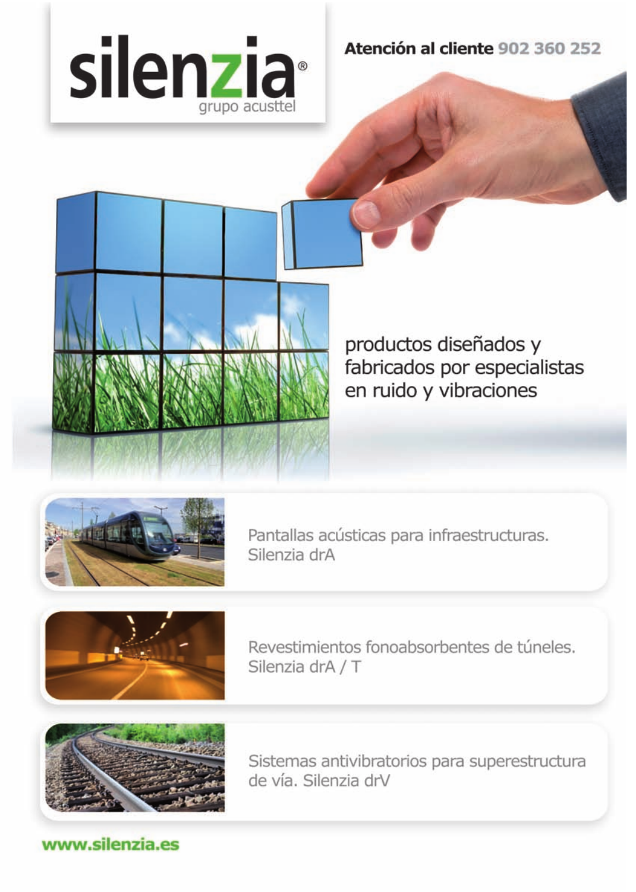

Atención al cliente 902 360 252



productos diseñados y fabricados por especialistas en ruido y vibraciones



Pantallas acústicas para infraestructuras. Silenzia drA



Revestimientos fonoabsorbentes de túneles. Silenzia drA / T



Sistemas antivibratorios para superestructura de vía. Silenzia drV

www.silenzia.es